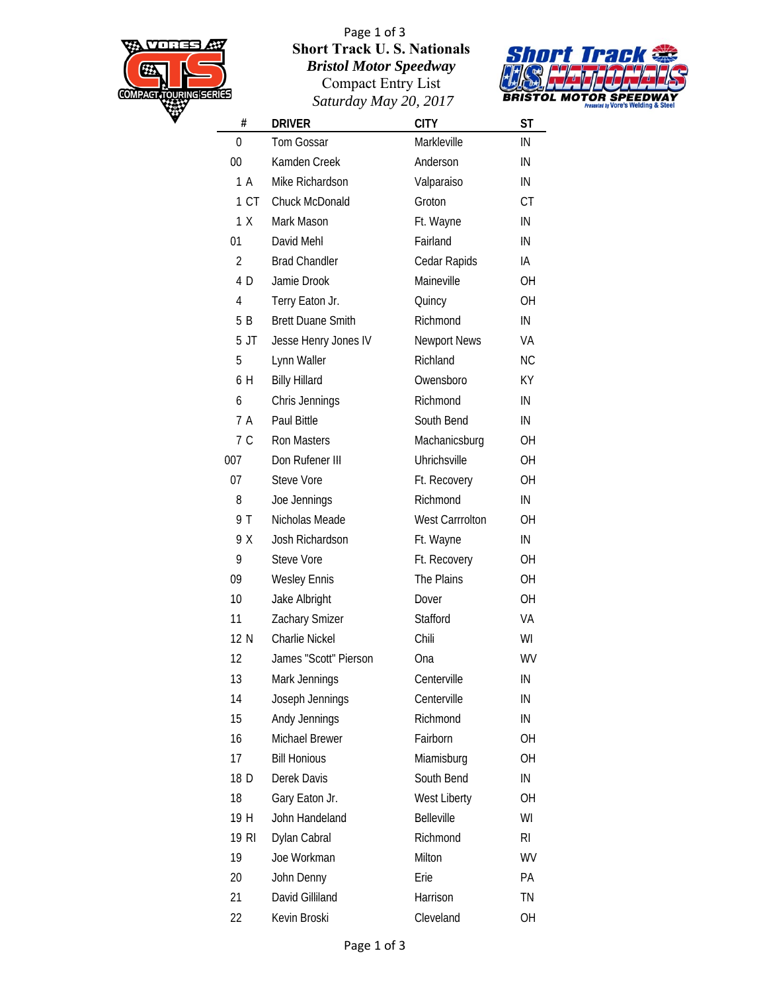| 33<br><b>COMPACT TOURING SERIES</b> | Page 1 of 3<br><b>Short Track U.S. Nationals</b><br><b>Bristol Motor Speedway</b><br><b>Compact Entry List</b><br>Saturday May 20, 2017 |                        | <i>Short Track</i> \$ |
|-------------------------------------|-----------------------------------------------------------------------------------------------------------------------------------------|------------------------|-----------------------|
| $\#$                                | <b>DRIVER</b>                                                                                                                           | <b>CITY</b>            | <b>ST</b>             |
| $\mathbf 0$                         | Tom Gossar                                                                                                                              | Markleville            | IN                    |
| 00                                  | Kamden Creek                                                                                                                            | Anderson               | IN                    |
| 1 A                                 | Mike Richardson                                                                                                                         | Valparaiso             | IN                    |
| 1 CT                                | Chuck McDonald                                                                                                                          | Groton                 | CT                    |
| 1 X                                 | Mark Mason                                                                                                                              | Ft. Wayne              | IN                    |
| 01                                  | David Mehl                                                                                                                              | Fairland               | IN                    |
| 2                                   | <b>Brad Chandler</b>                                                                                                                    | Cedar Rapids           | ΙA                    |
| 4 D                                 | Jamie Drook                                                                                                                             | Maineville             | OH                    |
| $\overline{4}$                      | Terry Eaton Jr.                                                                                                                         | Quincy                 | OH                    |
| 5 B                                 | <b>Brett Duane Smith</b>                                                                                                                | Richmond               | IN                    |
| 5 JT                                | Jesse Henry Jones IV                                                                                                                    | <b>Newport News</b>    | VA                    |
| 5                                   | Lynn Waller                                                                                                                             | Richland               | <b>NC</b>             |
| 6 H                                 | <b>Billy Hillard</b>                                                                                                                    | Owensboro              | KY                    |
| 6                                   | Chris Jennings                                                                                                                          | Richmond               | IN                    |
| 7 A                                 | Paul Bittle                                                                                                                             | South Bend             | IN                    |
| 7 C                                 | Ron Masters                                                                                                                             | Machanicsburg          | OH                    |
| 007                                 | Don Rufener III                                                                                                                         | Uhrichsville           | OH                    |
| 07                                  | Steve Vore                                                                                                                              | Ft. Recovery           | OH                    |
| 8                                   | Joe Jennings                                                                                                                            | Richmond               | IN                    |
| 9 T                                 | Nicholas Meade                                                                                                                          | <b>West Carrrolton</b> | OH                    |
| 9 X                                 | Josh Richardson                                                                                                                         | Ft. Wayne              | IN                    |
| 9                                   | Steve Vore                                                                                                                              | Ft. Recovery           | <b>OH</b>             |
| 09                                  | <b>Wesley Ennis</b>                                                                                                                     | The Plains             | <b>OH</b>             |
| 10                                  | Jake Albright                                                                                                                           | Dover                  | OH                    |
| 11                                  | Zachary Smizer                                                                                                                          | Stafford               | VA                    |
| 12 N                                | Charlie Nickel                                                                                                                          | Chili                  | WI                    |
| 12                                  | James "Scott" Pierson                                                                                                                   | Ona                    | WV                    |
| 13                                  | Mark Jennings                                                                                                                           | Centerville            | ${\sf IN}$            |
| 14                                  | Joseph Jennings                                                                                                                         | Centerville            | ${\sf IN}$            |
| 15                                  | Andy Jennings                                                                                                                           | Richmond               | ${\sf IN}$            |
| 16                                  | Michael Brewer                                                                                                                          | Fairborn               | OH                    |
| 17                                  | <b>Bill Honious</b>                                                                                                                     | Miamisburg             | OH                    |
| 18 D                                | Derek Davis                                                                                                                             | South Bend             | ${\sf IN}$            |
| 18                                  | Gary Eaton Jr.                                                                                                                          | West Liberty           | OH                    |
| 19 H                                | John Handeland                                                                                                                          | Belleville             | WI                    |
| 19 RI                               | Dylan Cabral                                                                                                                            | Richmond               | RI                    |
| 19                                  | Joe Workman                                                                                                                             | Milton                 | <b>WV</b>             |
| 20                                  | John Denny                                                                                                                              | Erie                   | PA                    |
| 21                                  | David Gilliland                                                                                                                         | Harrison               | TN                    |
| 22                                  | Kevin Broski                                                                                                                            | Cleveland              | OH                    |

**SPEEDWA**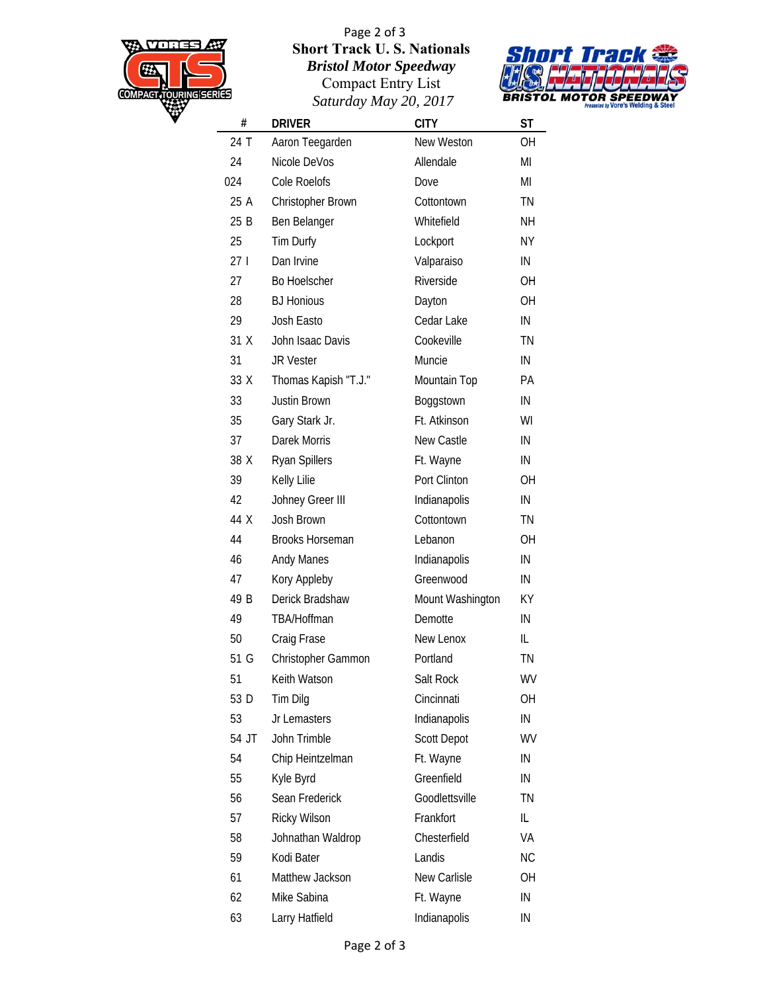

Page 2 of 3 **Short Track U. S. Nationals**  $Bristol Motor Speedway$ Compact Entry List *Saturday May 20 2017 20,* 



| #               | <b>DRIVER</b>          | <b>CITY</b>        | <b>ST</b> |
|-----------------|------------------------|--------------------|-----------|
| 24 T            | Aaron Teegarden        | New Weston         | 0H        |
| 24              | Nicole DeVos           | Allendale          | MI        |
| 024             | Cole Roelofs           | Dove               | MI        |
| 25 A            | Christopher Brown      | Cottontown         | ΤN        |
| 25 B            | Ben Belanger           | Whitefield         | NΗ        |
| 25              | Tim Durfy              | Lockport           | ΝY        |
| 27 <sub>1</sub> | Dan Irvine             | Valparaiso         | IN        |
| 27              | <b>Bo Hoelscher</b>    | Riverside          | ΟH        |
| 28              | <b>BJ Honious</b>      | Dayton             | ΟH        |
| 29              | Josh Easto             | Cedar Lake         | IN        |
| 31 X            | John Isaac Davis       | Cookeville         | ΤN        |
| 31              | <b>JR Vester</b>       | Muncie             | IN        |
| 33 X            | Thomas Kapish "T.J."   | Mountain Top       | PA        |
| 33              | <b>Justin Brown</b>    | Boggstown          | IN        |
| 35              | Gary Stark Jr.         | Ft. Atkinson       | WI        |
| 37              | Darek Morris           | New Castle         | IN        |
| 38 X            | <b>Ryan Spillers</b>   | Ft. Wayne          | IN        |
| 39              | Kelly Lilie            | Port Clinton       | ΟH        |
| 42              | Johney Greer III       | Indianapolis       | IN        |
| 44 X            | Josh Brown             | Cottontown         | TN        |
| 44              | <b>Brooks Horseman</b> | Lebanon            | ΟH        |
| 46              | Andy Manes             | Indianapolis       | IN        |
| 47              | Kory Appleby           | Greenwood          | IN        |
| 49 B            | Derick Bradshaw        | Mount Washington   | ΚY        |
| 49              | TBA/Hoffman            | Demotte            | IN        |
| 50              | Craig Frase            | New Lenox          | IL        |
| 51 G            | Christopher Gammon     | Portland           | ΤN        |
| 51              | Keith Watson           | Salt Rock          | WV        |
| 53 D            | <b>Tim Dilg</b>        | Cincinnati         | OH        |
| 53              | Jr Lemasters           | Indianapolis       | IN        |
| 54 JT           | John Trimble           | <b>Scott Depot</b> | WV        |
| 54              | Chip Heintzelman       | Ft. Wayne          | IN        |
| 55              | Kyle Byrd              | Greenfield         | IN        |
| 56              | Sean Frederick         | Goodlettsville     | TN        |
| 57              | Ricky Wilson           | Frankfort          | IL        |
| 58              | Johnathan Waldrop      | Chesterfield       | VA        |
| 59              | Kodi Bater             | Landis             | <b>NC</b> |
| 61              | Matthew Jackson        | New Carlisle       | OH        |
| 62              | Mike Sabina            | Ft. Wayne          | IN        |
| 63              | Larry Hatfield         | Indianapolis       | IN        |